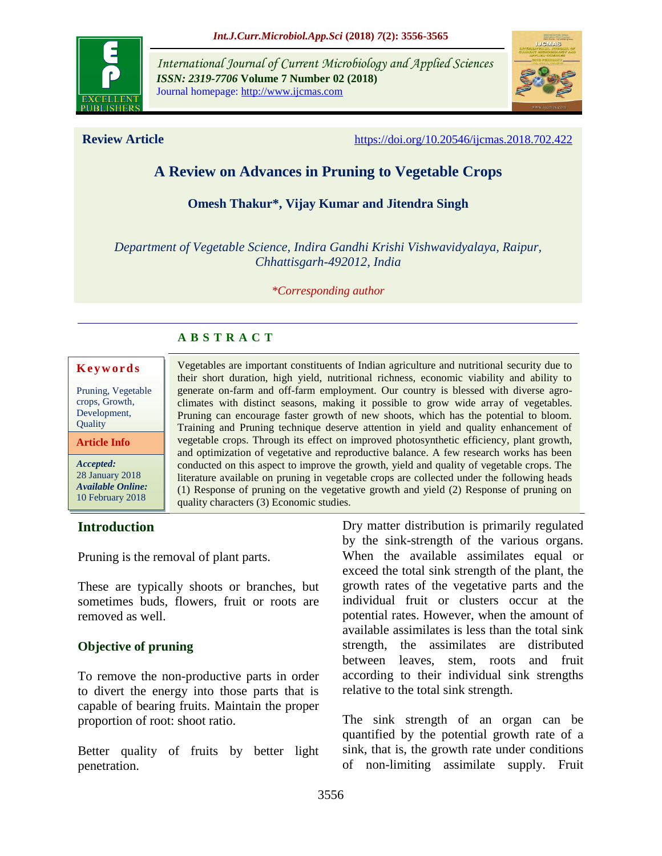

*International Journal of Current Microbiology and Applied Sciences ISSN: 2319-7706* **Volume 7 Number 02 (2018)**  Journal homepage: http://www.ijcmas.com



**Review Article** <https://doi.org/10.20546/ijcmas.2018.702.422>

# **A Review on Advances in Pruning to Vegetable Crops**

## **Omesh Thakur\*, Vijay Kumar and Jitendra Singh**

*Department of Vegetable Science, Indira Gandhi Krishi Vishwavidyalaya, Raipur, Chhattisgarh-492012, India*

*\*Corresponding author*

## **A B S T R A C T**

#### **K e y w o r d s**

Pruning, Vegetable crops, Growth, Development, **Ouality** 

**Article Info**

*Accepted:*  28 January 2018 *Available Online:* 10 February 2018

#### Vegetables are important constituents of Indian agriculture and nutritional security due to their short duration, high yield, nutritional richness, economic viability and ability to generate on-farm and off-farm employment. Our country is blessed with diverse agroclimates with distinct seasons, making it possible to grow wide array of vegetables. Pruning can encourage faster growth of new shoots, which has the potential to bloom. Training and Pruning technique deserve attention in yield and quality enhancement of vegetable crops. Through its effect on improved photosynthetic efficiency, plant growth, and optimization of vegetative and reproductive balance. A few research works has been conducted on this aspect to improve the growth, yield and quality of vegetable crops. The literature available on pruning in vegetable crops are collected under the following heads (1) Response of pruning on the vegetative growth and yield (2) Response of pruning on quality characters (3) Economic studies.

## **Introduction**

Pruning is the removal of plant parts.

These are typically shoots or branches, but sometimes buds, flowers, fruit or roots are removed as well.

## **Objective of pruning**

To remove the non-productive parts in order to divert the energy into those parts that is capable of bearing fruits. Maintain the proper proportion of root: shoot ratio.

Better quality of fruits by better light penetration.

Dry matter distribution is primarily regulated by the sink-strength of the various organs. When the available assimilates equal or exceed the total sink strength of the plant, the growth rates of the vegetative parts and the individual fruit or clusters occur at the potential rates. However, when the amount of available assimilates is less than the total sink strength, the assimilates are distributed between leaves, stem, roots and fruit according to their individual sink strengths relative to the total sink strength.

The sink strength of an organ can be quantified by the potential growth rate of a sink, that is, the growth rate under conditions of non-limiting assimilate supply. Fruit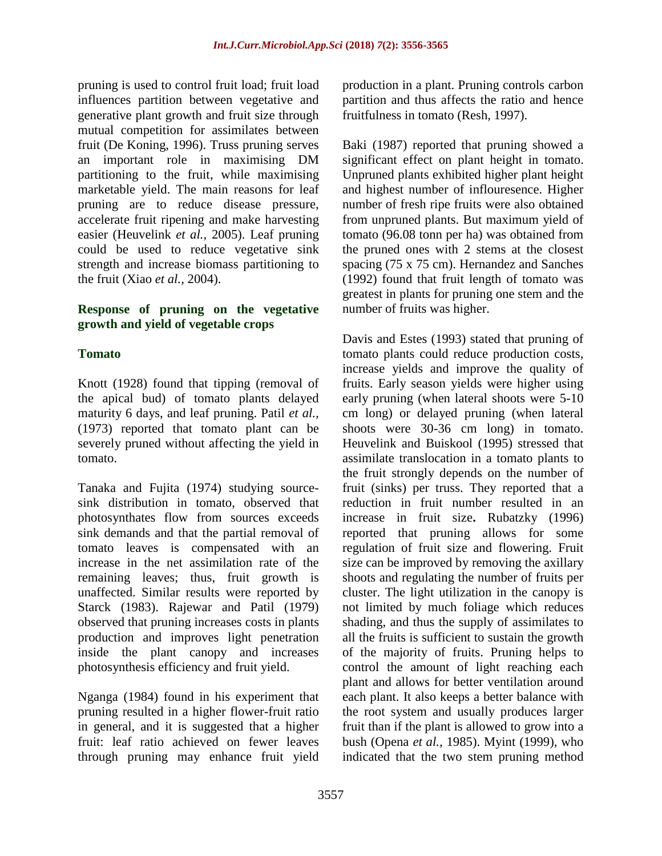pruning is used to control fruit load; fruit load influences partition between vegetative and generative plant growth and fruit size through mutual competition for assimilates between fruit (De Koning, 1996). Truss pruning serves an important role in maximising DM partitioning to the fruit, while maximising marketable yield. The main reasons for leaf pruning are to reduce disease pressure, accelerate fruit ripening and make harvesting easier (Heuvelink *et al.,* 2005). Leaf pruning could be used to reduce vegetative sink strength and increase biomass partitioning to the fruit (Xiao *et al.,* 2004).

#### **Response of pruning on the vegetative growth and yield of vegetable crops**

## **Tomato**

Knott (1928) found that tipping (removal of the apical bud) of tomato plants delayed maturity 6 days, and leaf pruning. Patil *et al.,* (1973) reported that tomato plant can be severely pruned without affecting the yield in tomato.

Tanaka and Fujita (1974) studying sourcesink distribution in tomato, observed that photosynthates flow from sources exceeds sink demands and that the partial removal of tomato leaves is compensated with an increase in the net assimilation rate of the remaining leaves; thus, fruit growth is unaffected. Similar results were reported by Starck (1983). Rajewar and Patil (1979) observed that pruning increases costs in plants production and improves light penetration inside the plant canopy and increases photosynthesis efficiency and fruit yield.

Nganga (1984) found in his experiment that pruning resulted in a higher flower-fruit ratio in general, and it is suggested that a higher fruit: leaf ratio achieved on fewer leaves through pruning may enhance fruit yield

production in a plant. Pruning controls carbon partition and thus affects the ratio and hence fruitfulness in tomato (Resh, 1997).

Baki (1987) reported that pruning showed a significant effect on plant height in tomato. Unpruned plants exhibited higher plant height and highest number of inflouresence. Higher number of fresh ripe fruits were also obtained from unpruned plants. But maximum yield of tomato (96.08 tonn per ha) was obtained from the pruned ones with 2 stems at the closest spacing (75 x 75 cm). Hernandez and Sanches (1992) found that fruit length of tomato was greatest in plants for pruning one stem and the number of fruits was higher.

Davis and Estes (1993) stated that pruning of tomato plants could reduce production costs, increase yields and improve the quality of fruits. Early season yields were higher using early pruning (when lateral shoots were 5-10 cm long) or delayed pruning (when lateral shoots were 30-36 cm long) in tomato. Heuvelink and Buiskool (1995) stressed that assimilate translocation in a tomato plants to the fruit strongly depends on the number of fruit (sinks) per truss. They reported that a reduction in fruit number resulted in an increase in fruit size**.** Rubatzky (1996) reported that pruning allows for some regulation of fruit size and flowering. Fruit size can be improved by removing the axillary shoots and regulating the number of fruits per cluster. The light utilization in the canopy is not limited by much foliage which reduces shading, and thus the supply of assimilates to all the fruits is sufficient to sustain the growth of the majority of fruits. Pruning helps to control the amount of light reaching each plant and allows for better ventilation around each plant. It also keeps a better balance with the root system and usually produces larger fruit than if the plant is allowed to grow into a bush (Opena *et al.,* 1985). Myint (1999), who indicated that the two stem pruning method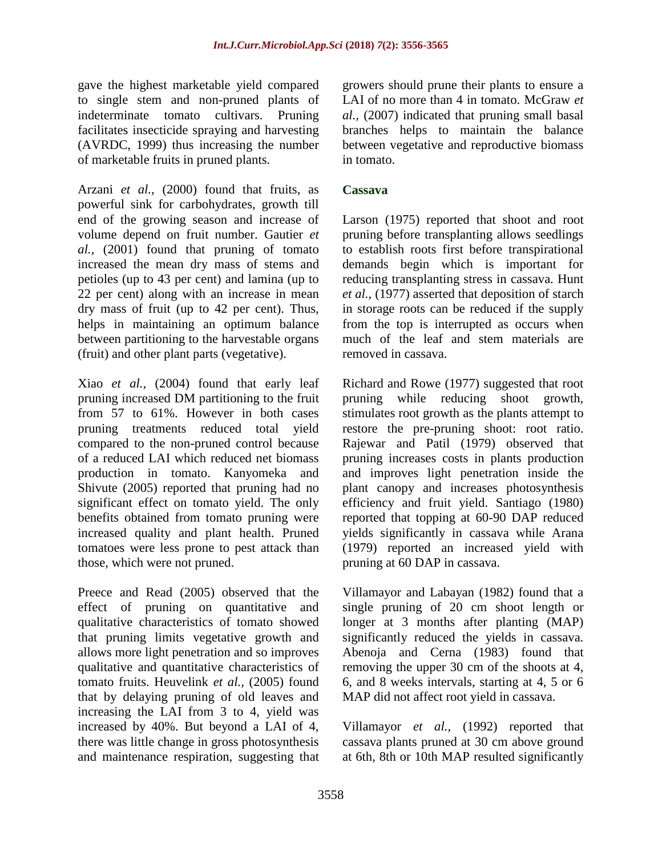gave the highest marketable yield compared to single stem and non-pruned plants of indeterminate tomato cultivars. Pruning facilitates insecticide spraying and harvesting (AVRDC, 1999) thus increasing the number of marketable fruits in pruned plants.

Arzani *et al.,* (2000) found that fruits, as powerful sink for carbohydrates, growth till end of the growing season and increase of volume depend on fruit number. Gautier *et al.,* (2001) found that pruning of tomato increased the mean dry mass of stems and petioles (up to 43 per cent) and lamina (up to 22 per cent) along with an increase in mean dry mass of fruit (up to 42 per cent). Thus, helps in maintaining an optimum balance between partitioning to the harvestable organs (fruit) and other plant parts (vegetative).

Xiao *et al.,* (2004) found that early leaf pruning increased DM partitioning to the fruit from 57 to 61%. However in both cases pruning treatments reduced total yield compared to the non-pruned control because of a reduced LAI which reduced net biomass production in tomato. Kanyomeka and Shivute (2005) reported that pruning had no significant effect on tomato yield. The only benefits obtained from tomato pruning were increased quality and plant health. Pruned tomatoes were less prone to pest attack than those, which were not pruned.

Preece and Read (2005) observed that the effect of pruning on quantitative and qualitative characteristics of tomato showed that pruning limits vegetative growth and allows more light penetration and so improves qualitative and quantitative characteristics of tomato fruits. Heuvelink *et al.,* (2005) found that by delaying pruning of old leaves and increasing the LAI from 3 to 4, yield was increased by 40%. But beyond a LAI of 4, there was little change in gross photosynthesis and maintenance respiration, suggesting that

growers should prune their plants to ensure a LAI of no more than 4 in tomato. McGraw *et al.,* (2007) indicated that pruning small basal branches helps to maintain the balance between vegetative and reproductive biomass in tomato.

## **Cassava**

Larson (1975) reported that shoot and root pruning before transplanting allows seedlings to establish roots first before transpirational demands begin which is important for reducing transplanting stress in cassava. Hunt *et al.,* (1977) asserted that deposition of starch in storage roots can be reduced if the supply from the top is interrupted as occurs when much of the leaf and stem materials are removed in cassava.

Richard and Rowe (1977) suggested that root pruning while reducing shoot growth, stimulates root growth as the plants attempt to restore the pre-pruning shoot: root ratio. Rajewar and Patil (1979) observed that pruning increases costs in plants production and improves light penetration inside the plant canopy and increases photosynthesis efficiency and fruit yield. Santiago (1980) reported that topping at 60-90 DAP reduced yields significantly in cassava while Arana (1979) reported an increased yield with pruning at 60 DAP in cassava.

Villamayor and Labayan (1982) found that a single pruning of 20 cm shoot length or longer at 3 months after planting (MAP) significantly reduced the yields in cassava. Abenoja and Cerna (1983) found that removing the upper 30 cm of the shoots at 4, 6, and 8 weeks intervals, starting at 4, 5 or 6 MAP did not affect root yield in cassava.

Villamayor *et al.,* (1992) reported that cassava plants pruned at 30 cm above ground at 6th, 8th or 10th MAP resulted significantly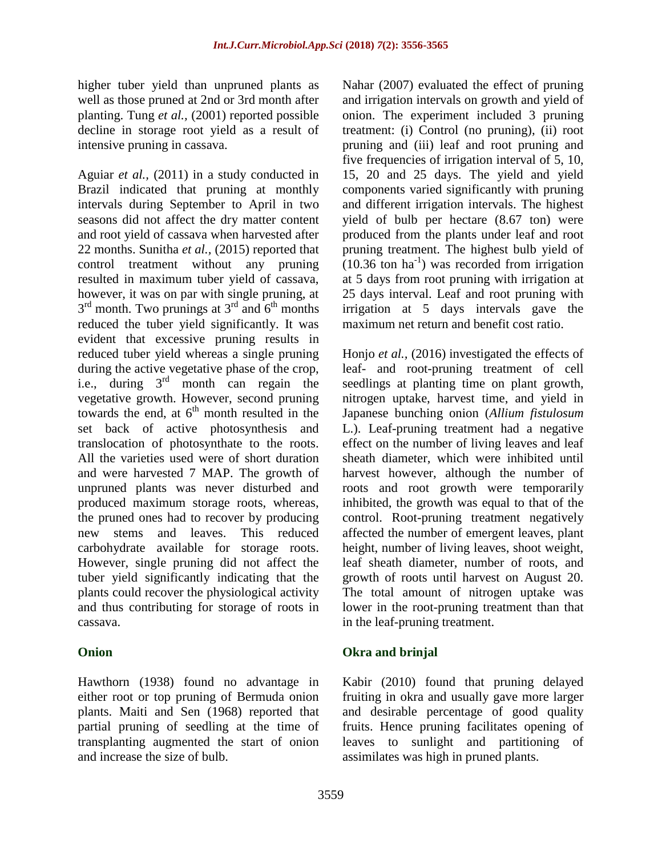higher tuber yield than unpruned plants as well as those pruned at 2nd or 3rd month after planting. Tung *et al.,* (2001) reported possible decline in storage root yield as a result of intensive pruning in cassava.

Aguiar *et al.,* (2011) in a study conducted in Brazil indicated that pruning at monthly intervals during September to April in two seasons did not affect the dry matter content and root yield of cassava when harvested after 22 months. Sunitha *et al.,* (2015) reported that control treatment without any pruning resulted in maximum tuber yield of cassava, however, it was on par with single pruning, at  $3<sup>rd</sup>$  month. Two prunings at  $3<sup>rd</sup>$  and  $6<sup>th</sup>$  months reduced the tuber yield significantly. It was evident that excessive pruning results in reduced tuber yield whereas a single pruning during the active vegetative phase of the crop, i.e., during  $3<sup>rd</sup>$  month can regain the vegetative growth. However, second pruning towards the end, at  $6<sup>th</sup>$  month resulted in the set back of active photosynthesis and translocation of photosynthate to the roots. All the varieties used were of short duration and were harvested 7 MAP. The growth of unpruned plants was never disturbed and produced maximum storage roots, whereas, the pruned ones had to recover by producing new stems and leaves. This reduced carbohydrate available for storage roots. However, single pruning did not affect the tuber yield significantly indicating that the plants could recover the physiological activity and thus contributing for storage of roots in cassava.

## **Onion**

Hawthorn (1938) found no advantage in either root or top pruning of Bermuda onion plants. Maiti and Sen (1968) reported that partial pruning of seedling at the time of transplanting augmented the start of onion and increase the size of bulb.

Nahar (2007) evaluated the effect of pruning and irrigation intervals on growth and yield of onion. The experiment included 3 pruning treatment: (i) Control (no pruning), (ii) root pruning and (iii) leaf and root pruning and five frequencies of irrigation interval of 5, 10, 15, 20 and 25 days. The yield and yield components varied significantly with pruning and different irrigation intervals. The highest yield of bulb per hectare (8.67 ton) were produced from the plants under leaf and root pruning treatment. The highest bulb yield of  $(10.36 \text{ ton ha}^{-1})$  was recorded from irrigation at 5 days from root pruning with irrigation at 25 days interval. Leaf and root pruning with irrigation at 5 days intervals gave the maximum net return and benefit cost ratio.

Honjo *et al.,* (2016) investigated the effects of leaf- and root-pruning treatment of cell seedlings at planting time on plant growth, nitrogen uptake, harvest time, and yield in Japanese bunching onion (*Allium fistulosum*  L.). Leaf-pruning treatment had a negative effect on the number of living leaves and leaf sheath diameter, which were inhibited until harvest however, although the number of roots and root growth were temporarily inhibited, the growth was equal to that of the control. Root-pruning treatment negatively affected the number of emergent leaves, plant height, number of living leaves, shoot weight, leaf sheath diameter, number of roots, and growth of roots until harvest on August 20. The total amount of nitrogen uptake was lower in the root-pruning treatment than that in the leaf-pruning treatment.

# **Okra and brinjal**

Kabir (2010) found that pruning delayed fruiting in okra and usually gave more larger and desirable percentage of good quality fruits. Hence pruning facilitates opening of leaves to sunlight and partitioning of assimilates was high in pruned plants.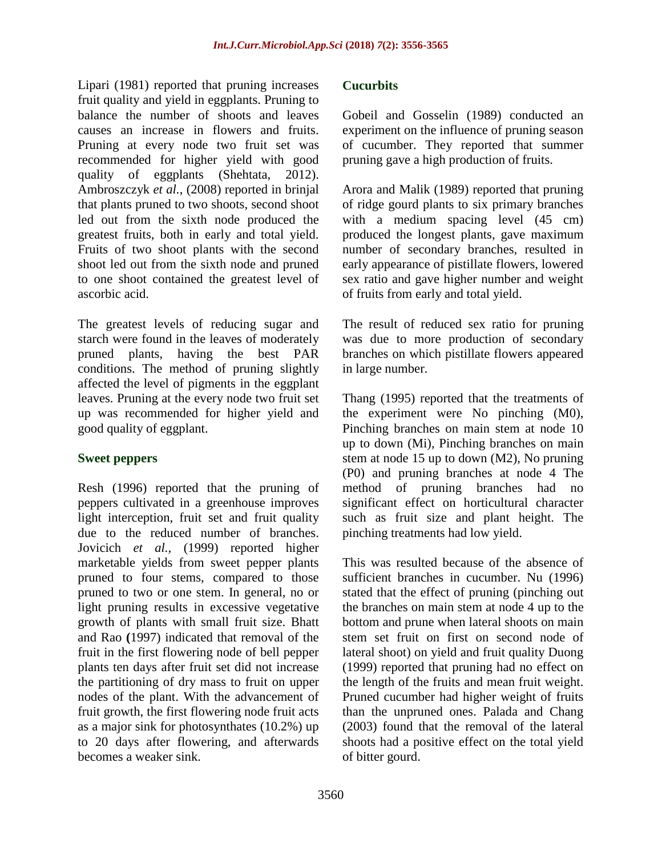Lipari (1981) reported that pruning increases fruit quality and yield in eggplants. Pruning to balance the number of shoots and leaves causes an increase in flowers and fruits. Pruning at every node two fruit set was recommended for higher yield with good quality of eggplants (Shehtata, 2012). Ambroszczyk *et al.,* (2008) reported in brinjal that plants pruned to two shoots, second shoot led out from the sixth node produced the greatest fruits, both in early and total yield. Fruits of two shoot plants with the second shoot led out from the sixth node and pruned to one shoot contained the greatest level of ascorbic acid.

The greatest levels of reducing sugar and starch were found in the leaves of moderately pruned plants, having the best PAR conditions. The method of pruning slightly affected the level of pigments in the eggplant leaves. Pruning at the every node two fruit set up was recommended for higher yield and good quality of eggplant.

## **Sweet peppers**

Resh (1996) reported that the pruning of peppers cultivated in a greenhouse improves light interception, fruit set and fruit quality due to the reduced number of branches. Jovicich *et al.,* (1999) reported higher marketable yields from sweet pepper plants pruned to four stems, compared to those pruned to two or one stem. In general, no or light pruning results in excessive vegetative growth of plants with small fruit size. Bhatt and Rao **(**1997) indicated that removal of the fruit in the first flowering node of bell pepper plants ten days after fruit set did not increase the partitioning of dry mass to fruit on upper nodes of the plant. With the advancement of fruit growth, the first flowering node fruit acts as a major sink for photosynthates (10.2%) up to 20 days after flowering, and afterwards becomes a weaker sink.

#### **Cucurbits**

Gobeil and Gosselin (1989) conducted an experiment on the influence of pruning season of cucumber. They reported that summer pruning gave a high production of fruits.

Arora and Malik (1989) reported that pruning of ridge gourd plants to six primary branches with a medium spacing level  $(45 \text{ cm})$ produced the longest plants, gave maximum number of secondary branches, resulted in early appearance of pistillate flowers, lowered sex ratio and gave higher number and weight of fruits from early and total yield.

The result of reduced sex ratio for pruning was due to more production of secondary branches on which pistillate flowers appeared in large number.

Thang (1995) reported that the treatments of the experiment were No pinching (M0), Pinching branches on main stem at node 10 up to down (Mi), Pinching branches on main stem at node 15 up to down (M2), No pruning (P0) and pruning branches at node 4 The method of pruning branches had no significant effect on horticultural character such as fruit size and plant height. The pinching treatments had low yield.

This was resulted because of the absence of sufficient branches in cucumber. Nu (1996) stated that the effect of pruning (pinching out the branches on main stem at node 4 up to the bottom and prune when lateral shoots on main stem set fruit on first on second node of lateral shoot) on yield and fruit quality Duong (1999) reported that pruning had no effect on the length of the fruits and mean fruit weight. Pruned cucumber had higher weight of fruits than the unpruned ones. Palada and Chang (2003) found that the removal of the lateral shoots had a positive effect on the total yield of bitter gourd.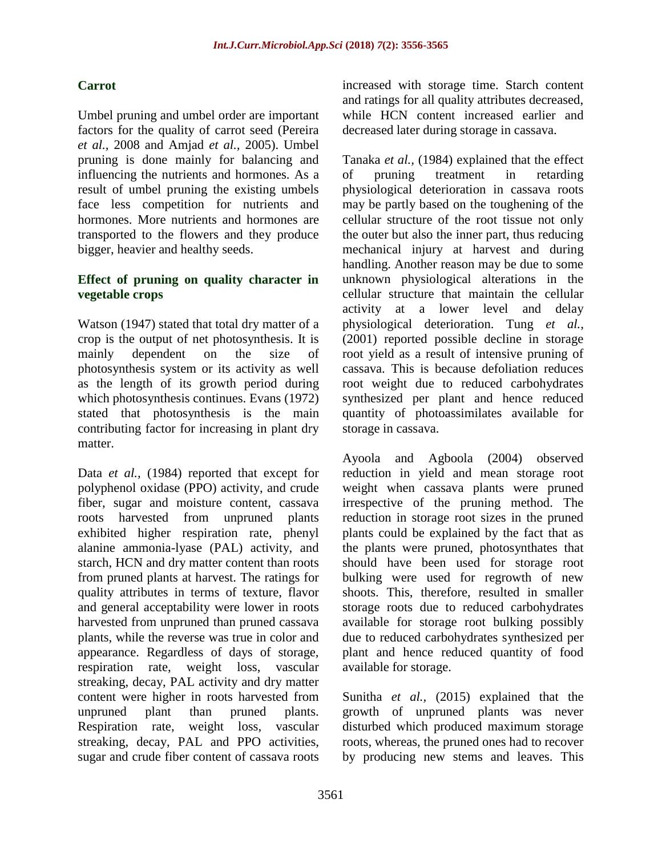# **Carrot**

Umbel pruning and umbel order are important factors for the quality of carrot seed (Pereira *et al.,* 2008 and Amjad *et al.,* 2005). Umbel pruning is done mainly for balancing and influencing the nutrients and hormones. As a result of umbel pruning the existing umbels face less competition for nutrients and hormones. More nutrients and hormones are transported to the flowers and they produce bigger, heavier and healthy seeds.

## **Effect of pruning on quality character in vegetable crops**

Watson (1947) stated that total dry matter of a crop is the output of net photosynthesis. It is mainly dependent on the size of photosynthesis system or its activity as well as the length of its growth period during which photosynthesis continues. Evans (1972) stated that photosynthesis is the main contributing factor for increasing in plant dry matter.

Data *et al.,* (1984) reported that except for polyphenol oxidase (PPO) activity, and crude fiber, sugar and moisture content, cassava roots harvested from unpruned plants exhibited higher respiration rate, phenyl alanine ammonia-lyase (PAL) activity, and starch, HCN and dry matter content than roots from pruned plants at harvest. The ratings for quality attributes in terms of texture, flavor and general acceptability were lower in roots harvested from unpruned than pruned cassava plants, while the reverse was true in color and appearance. Regardless of days of storage, respiration rate, weight loss, vascular streaking, decay, PAL activity and dry matter content were higher in roots harvested from unpruned plant than pruned plants. Respiration rate, weight loss, vascular streaking, decay, PAL and PPO activities, sugar and crude fiber content of cassava roots

increased with storage time. Starch content and ratings for all quality attributes decreased, while HCN content increased earlier and decreased later during storage in cassava.

Tanaka *et al.,* (1984) explained that the effect of pruning treatment in retarding physiological deterioration in cassava roots may be partly based on the toughening of the cellular structure of the root tissue not only the outer but also the inner part, thus reducing mechanical injury at harvest and during handling. Another reason may be due to some unknown physiological alterations in the cellular structure that maintain the cellular activity at a lower level and delay physiological deterioration. Tung *et al.,* (2001) reported possible decline in storage root yield as a result of intensive pruning of cassava. This is because defoliation reduces root weight due to reduced carbohydrates synthesized per plant and hence reduced quantity of photoassimilates available for storage in cassava.

Ayoola and Agboola (2004) observed reduction in yield and mean storage root weight when cassava plants were pruned irrespective of the pruning method. The reduction in storage root sizes in the pruned plants could be explained by the fact that as the plants were pruned, photosynthates that should have been used for storage root bulking were used for regrowth of new shoots. This, therefore, resulted in smaller storage roots due to reduced carbohydrates available for storage root bulking possibly due to reduced carbohydrates synthesized per plant and hence reduced quantity of food available for storage.

Sunitha *et al.,* (2015) explained that the growth of unpruned plants was never disturbed which produced maximum storage roots, whereas, the pruned ones had to recover by producing new stems and leaves. This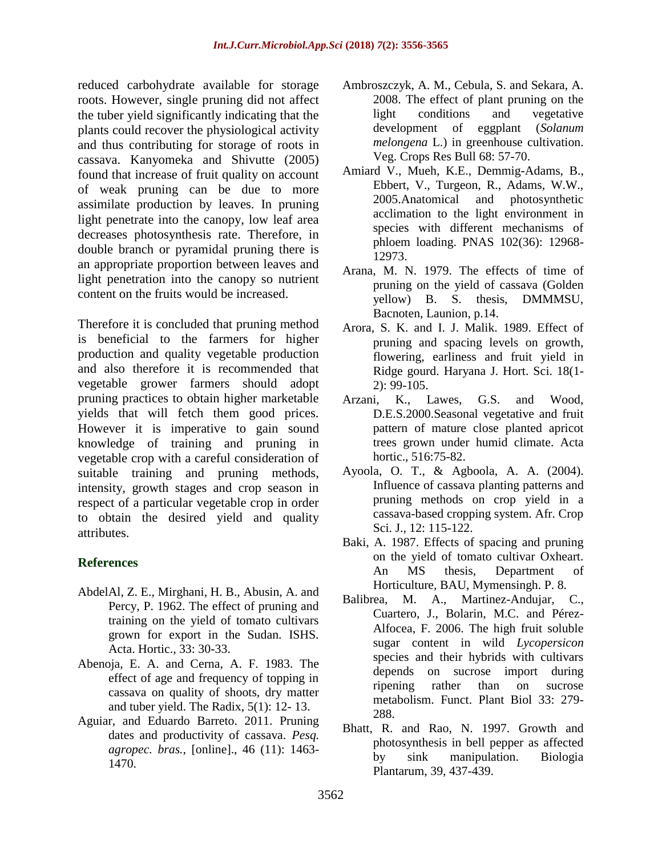reduced carbohydrate available for storage roots. However, single pruning did not affect the tuber yield significantly indicating that the plants could recover the physiological activity and thus contributing for storage of roots in cassava. Kanyomeka and Shivutte (2005) found that increase of fruit quality on account of weak pruning can be due to more assimilate production by leaves. In pruning light penetrate into the canopy, low leaf area decreases photosynthesis rate. Therefore, in double branch or pyramidal pruning there is an appropriate proportion between leaves and light penetration into the canopy so nutrient content on the fruits would be increased.

Therefore it is concluded that pruning method is beneficial to the farmers for higher production and quality vegetable production and also therefore it is recommended that vegetable grower farmers should adopt pruning practices to obtain higher marketable yields that will fetch them good prices. However it is imperative to gain sound knowledge of training and pruning in vegetable crop with a careful consideration of suitable training and pruning methods, intensity, growth stages and crop season in respect of a particular vegetable crop in order to obtain the desired yield and quality attributes.

# **References**

- AbdelAl, Z. E., Mirghani, H. B., Abusin, A. and Percy, P. 1962. The effect of pruning and training on the yield of tomato cultivars grown for export in the Sudan. ISHS. Acta. Hortic., 33: 30-33.
- Abenoja, E. A. and Cerna, A. F. 1983. The effect of age and frequency of topping in cassava on quality of shoots, dry matter and tuber yield. The Radix, 5(1): 12- 13.
- Aguiar, and Eduardo Barreto. 2011. Pruning dates and productivity of cassava. *Pesq. agropec. bras.,* [online]., 46 (11): 1463- 1470.
- Ambroszczyk, A. M., Cebula, S. and Sekara, A. 2008. The effect of plant pruning on the light conditions and vegetative development of eggplant (*Solanum melongena* L.) in greenhouse cultivation. Veg. Crops Res Bull 68: 57-70.
- Amiard V., Mueh, K.E., Demmig-Adams, B., Ebbert, V., Turgeon, R., Adams, W.W., 2005.Anatomical and photosynthetic acclimation to the light environment in species with different mechanisms of phloem loading. PNAS 102(36): 12968- 12973.
- Arana, M. N. 1979. The effects of time of pruning on the yield of cassava (Golden yellow) B. S. thesis, DMMMSU, Bacnoten, Launion, p.14.
- Arora, S. K. and I. J. Malik. 1989. Effect of pruning and spacing levels on growth, flowering, earliness and fruit yield in Ridge gourd. Haryana J. Hort. Sci. 18(1- 2): 99-105.
- Arzani, K., Lawes, G.S. and Wood, D.E.S.2000.Seasonal vegetative and fruit pattern of mature close planted apricot trees grown under humid climate. Acta hortic., 516:75-82.
- Ayoola, O. T., & Agboola, A. A. (2004). Influence of cassava planting patterns and pruning methods on crop yield in a cassava-based cropping system. Afr. Crop Sci. J., 12: 115-122.
- Baki, A. 1987. Effects of spacing and pruning on the yield of tomato cultivar Oxheart. An MS thesis, Department of Horticulture, BAU, Mymensingh. P. 8.
- Balibrea, M. A., Martinez-Andujar, C., Cuartero, J., Bolarin, M.C. and Pérez-Alfocea, F. 2006. The high fruit soluble sugar content in wild *Lycopersicon* species and their hybrids with cultivars depends on sucrose import during ripening rather than on sucrose metabolism. Funct. Plant Biol 33: 279- 288.
- Bhatt, R. and Rao, N. 1997. Growth and photosynthesis in bell pepper as affected by sink manipulation. Biologia Plantarum, 39, 437-439.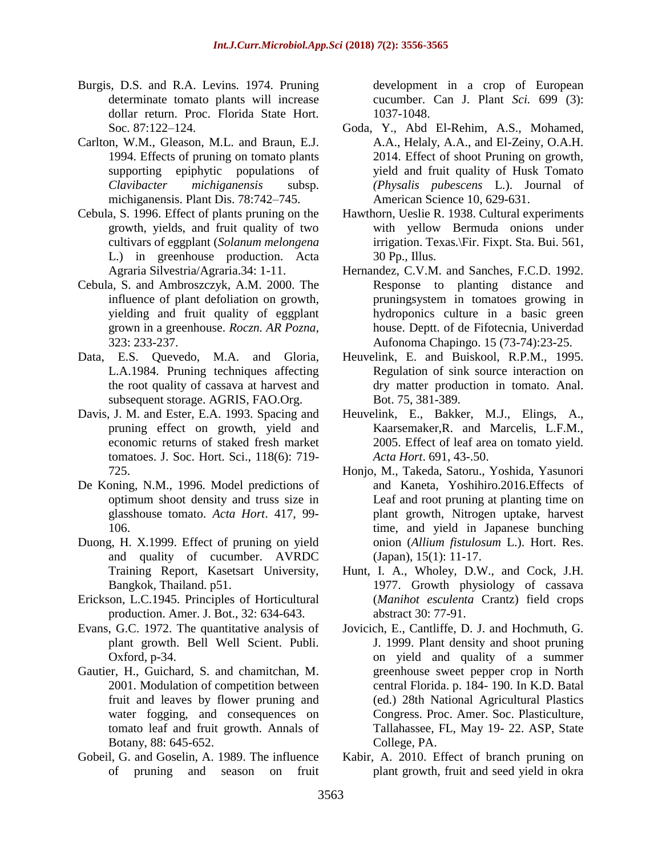- Burgis, D.S. and R.A. Levins. 1974. Pruning determinate tomato plants will increase dollar return. Proc. Florida State Hort. Soc*.* 87:122–124.
- Carlton, W.M., Gleason, M.L. and Braun, E.J. 1994. Effects of pruning on tomato plants supporting epiphytic populations of *Clavibacter michiganensis* subsp. michiganensis. Plant Dis. 78:742–745.
- Cebula, S. 1996. Effect of plants pruning on the growth, yields, and fruit quality of two cultivars of eggplant (*Solanum melongena*  L.) in greenhouse production. Acta Agraria Silvestria/Agraria.34: 1-11.
- Cebula, S. and Ambroszczyk, A.M. 2000. The influence of plant defoliation on growth, yielding and fruit quality of eggplant grown in a greenhouse. *Roczn. AR Pozna,*  323: 233-237.
- Data, E.S. Quevedo, M.A. and Gloria, L.A.1984. Pruning techniques affecting the root quality of cassava at harvest and subsequent storage. AGRIS, FAO.Org.
- Davis, J. M. and Ester, E.A. 1993. Spacing and pruning effect on growth, yield and economic returns of staked fresh market tomatoes. J. Soc. Hort. Sci., 118(6): 719- 725.
- De Koning, N.M., 1996. Model predictions of optimum shoot density and truss size in glasshouse tomato. *Acta Hort*. 417, 99- 106.
- Duong, H. X.1999. Effect of pruning on yield and quality of cucumber. AVRDC Training Report, Kasetsart University, Bangkok, Thailand. p51.
- Erickson, L.C.1945. Principles of Horticultural production. Amer. J. Bot., 32: 634-643.
- Evans, G.C. 1972. The quantitative analysis of plant growth. Bell Well Scient. Publi. Oxford, p-34.
- Gautier, H., Guichard, S. and chamitchan, M. 2001. Modulation of competition between fruit and leaves by flower pruning and water fogging, and consequences on tomato leaf and fruit growth. Annals of Botany, 88: 645-652.
- Gobeil, G. and Goselin, A. 1989. The influence of pruning and season on fruit

development in a crop of European cucumber. Can J. Plant *Sci.* 699 (3): 1037-1048.

- Goda, Y., Abd El-Rehim, A.S., Mohamed, A.A., Helaly, A.A., and El-Zeiny, O.A.H. 2014. Effect of shoot Pruning on growth, yield and fruit quality of Husk Tomato *(Physalis pubescens* L.). Journal of American Science 10, 629-631.
- Hawthorn, Ueslie R. 1938. Cultural experiments with yellow Bermuda onions under irrigation. Texas.\Fir. Fixpt. Sta. Bui. 561, 30 Pp., Illus.
- Hernandez, C.V.M. and Sanches, F.C.D. 1992. Response to planting distance and pruningsystem in tomatoes growing in hydroponics culture in a basic green house. Deptt. of de Fifotecnia, Univerdad Aufonoma Chapingo. 15 (73-74):23-25.
- Heuvelink, E. and Buiskool, R.P.M., 1995. Regulation of sink source interaction on dry matter production in tomato. Anal. Bot. 75, 381-389.
- Heuvelink, E., Bakker, M.J., Elings, A., Kaarsemaker,R. and Marcelis, L.F.M., 2005. Effect of leaf area on tomato yield. *Acta Hort*. 691, 43-.50.
- Honjo, M., Takeda, Satoru., Yoshida, Yasunori and Kaneta, Yoshihiro.2016.Effects of Leaf and root pruning at planting time on plant growth, Nitrogen uptake, harvest time, and yield in Japanese bunching onion (*Allium fistulosum* L.). Hort. Res. (Japan), 15(1): 11-17.
- Hunt, I. A., Wholey, D.W., and Cock, J.H. 1977. Growth physiology of cassava (*Manihot esculenta* Crantz) field crops abstract 30: 77-91.
- Jovicich, E., Cantliffe, D. J. and Hochmuth, G. J. 1999. Plant density and shoot pruning on yield and quality of a summer greenhouse sweet pepper crop in North central Florida. p. 184- 190. In K.D. Batal (ed.) 28th National Agricultural Plastics Congress. Proc. Amer. Soc. Plasticulture, Tallahassee, FL, May 19- 22. ASP, State College, PA.
- Kabir, A. 2010. Effect of branch pruning on plant growth, fruit and seed yield in okra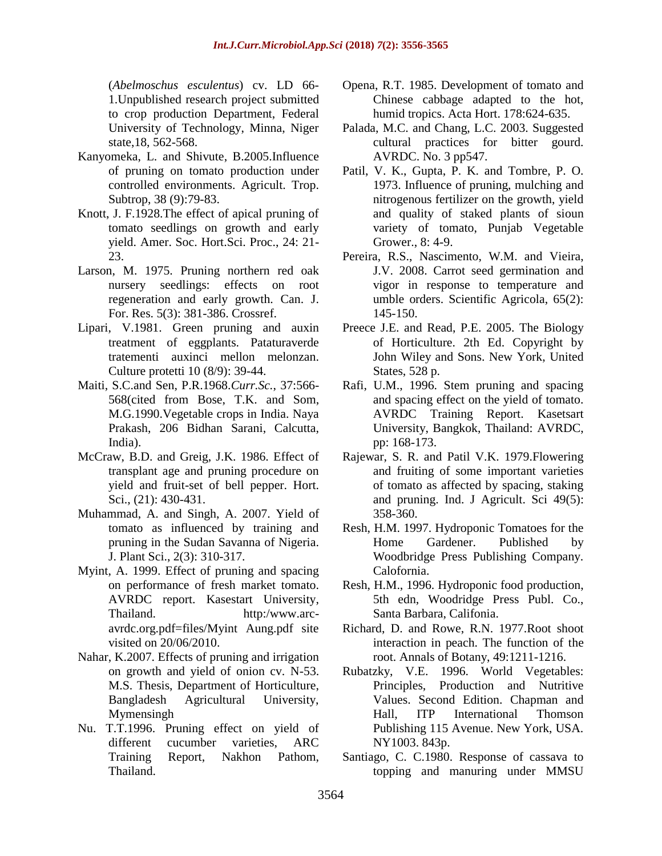(*Abelmoschus esculentus*) cv. LD 66- 1.Unpublished research project submitted to crop production Department, Federal University of Technology, Minna, Niger state,18, 562-568.

- Kanyomeka, L. and Shivute, B.2005.Influence of pruning on tomato production under controlled environments. Agricult. Trop. Subtrop, 38 (9):79-83.
- Knott, J. F.1928.The effect of apical pruning of tomato seedlings on growth and early yield. Amer. Soc. Hort.Sci. Proc., 24: 21- 23.
- Larson, M. 1975. Pruning northern red oak nursery seedlings: effects on root regeneration and early growth. Can. J. For. Res. 5(3): 381-386. Crossref.
- Lipari, V.1981. Green pruning and auxin treatment of eggplants. Pataturaverde tratementi auxinci mellon melonzan. Culture protetti 10 (8/9): 39-44.
- Maiti, S.C.and Sen, P.R.1968.*Curr.Sc.*, 37:566- 568(cited from Bose, T.K. and Som, M.G.1990.Vegetable crops in India. Naya Prakash, 206 Bidhan Sarani, Calcutta, India).
- McCraw, B.D. and Greig, J.K. 1986. Effect of transplant age and pruning procedure on yield and fruit-set of bell pepper. Hort. Sci., (21): 430-431.
- Muhammad, A. and Singh, A. 2007. Yield of tomato as influenced by training and pruning in the Sudan Savanna of Nigeria. J. Plant Sci., 2(3): 310-317.
- Myint, A. 1999. Effect of pruning and spacing on performance of fresh market tomato. AVRDC report. Kasestart University, Thailand. http:/www.arcavrdc.org.pdf=files/Myint Aung.pdf site visited on 20/06/2010.
- Nahar, K.2007. Effects of pruning and irrigation on growth and yield of onion cv. N-53. M.S. Thesis, Department of Horticulture, Bangladesh Agricultural University, Mymensingh
- Nu. T.T.1996. Pruning effect on yield of different cucumber varieties, ARC Training Report, Nakhon Pathom, Thailand.
- Opena, R.T. 1985. Development of tomato and Chinese cabbage adapted to the hot, humid tropics. Acta Hort. 178:624-635.
- Palada, M.C. and Chang, L.C. 2003. Suggested cultural practices for bitter gourd. AVRDC. No. 3 pp547.
- Patil, V. K., Gupta, P. K. and Tombre, P. O. 1973. Influence of pruning, mulching and nitrogenous fertilizer on the growth, yield and quality of staked plants of sioun variety of tomato, Punjab Vegetable Grower., 8: 4-9.
- Pereira, R.S., Nascimento, W.M. and Vieira, J.V. 2008. Carrot seed germination and vigor in response to temperature and umble orders. Scientific Agricola, 65(2): 145-150.
- Preece J.E. and Read, P.E. 2005. The Biology of Horticulture. 2th Ed. Copyright by John Wiley and Sons. New York, United States, 528 p.
- Rafi, U.M., 1996. Stem pruning and spacing and spacing effect on the yield of tomato. AVRDC Training Report. Kasetsart University, Bangkok, Thailand: AVRDC, pp: 168-173.
- Rajewar, S. R. and Patil V.K. 1979.Flowering and fruiting of some important varieties of tomato as affected by spacing, staking and pruning. Ind. J Agricult. Sci 49(5): 358-360.
- Resh, H.M. 1997. Hydroponic Tomatoes for the Home Gardener. Published by Woodbridge Press Publishing Company. Calofornia.
- Resh, H.M., 1996. Hydroponic food production, 5th edn, Woodridge Press Publ. Co., Santa Barbara, Califonia.
- Richard, D. and Rowe, R.N. 1977.Root shoot interaction in peach. The function of the root. Annals of Botany, 49:1211-1216.
- Rubatzky, V.E. 1996. World Vegetables: Principles, Production and Nutritive Values. Second Edition. Chapman and Hall, ITP International Thomson Publishing 115 Avenue. New York, USA. NY1003. 843p.
- Santiago, C. C.1980. Response of cassava to topping and manuring under MMSU